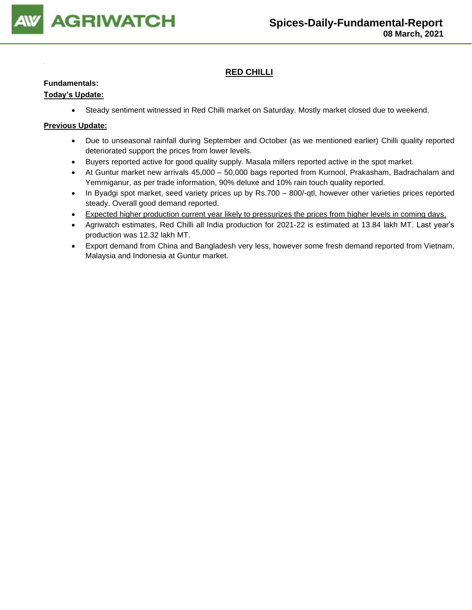

### **RED CHILLI**

### **Fundamentals:**

### **Today's Update:**

• Steady sentiment witnessed in Red Chilli market on Saturday. Mostly market closed due to weekend.

- Due to unseasonal rainfall during September and October (as we mentioned earlier) Chilli quality reported deteriorated support the prices from lower levels.
- Buyers reported active for good quality supply. Masala millers reported active in the spot market.
- At Guntur market new arrivals 45,000 50,000 bags reported from Kurnool, Prakasham, Badrachalam and Yemmiganur, as per trade information, 90% deluxe and 10% rain touch quality reported.
- In Byadgi spot market, seed variety prices up by Rs.700 800/-qtl, however other varieties prices reported steady. Overall good demand reported.
- Expected higher production current year likely to pressurizes the prices from higher levels in coming days.
- Agriwatch estimates, Red Chilli all India production for 2021-22 is estimated at 13.84 lakh MT. Last year's production was 12.32 lakh MT.
- Export demand from China and Bangladesh very less, however some fresh demand reported from Vietnam, Malaysia and Indonesia at Guntur market.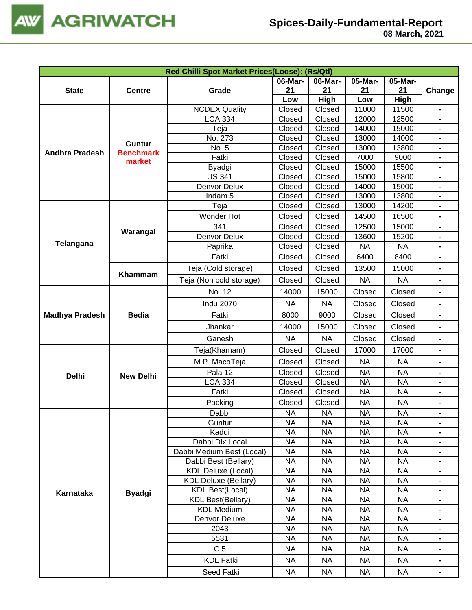

|                       |                  | Red Chilli Spot Market Prices(Loose): (Rs/Qtl) |                                                                                                                                                                                                                                                                                                                                                                                                                                                                                                                                                                                                                                                                                                                                                                                                                                                                                                                                                                                                                                                                                                                                                                                                                                                                                                                                                                                                                                                                                                                        |               |               |               |                                  |
|-----------------------|------------------|------------------------------------------------|------------------------------------------------------------------------------------------------------------------------------------------------------------------------------------------------------------------------------------------------------------------------------------------------------------------------------------------------------------------------------------------------------------------------------------------------------------------------------------------------------------------------------------------------------------------------------------------------------------------------------------------------------------------------------------------------------------------------------------------------------------------------------------------------------------------------------------------------------------------------------------------------------------------------------------------------------------------------------------------------------------------------------------------------------------------------------------------------------------------------------------------------------------------------------------------------------------------------------------------------------------------------------------------------------------------------------------------------------------------------------------------------------------------------------------------------------------------------------------------------------------------------|---------------|---------------|---------------|----------------------------------|
| <b>State</b>          | <b>Centre</b>    | Grade                                          | 06-Mar-<br>21                                                                                                                                                                                                                                                                                                                                                                                                                                                                                                                                                                                                                                                                                                                                                                                                                                                                                                                                                                                                                                                                                                                                                                                                                                                                                                                                                                                                                                                                                                          | 06-Mar-<br>21 | 05-Mar-<br>21 | 05-Mar-<br>21 | Change                           |
|                       |                  |                                                | Low                                                                                                                                                                                                                                                                                                                                                                                                                                                                                                                                                                                                                                                                                                                                                                                                                                                                                                                                                                                                                                                                                                                                                                                                                                                                                                                                                                                                                                                                                                                    | High          | Low           | High          |                                  |
|                       |                  | <b>NCDEX Quality</b>                           | Closed                                                                                                                                                                                                                                                                                                                                                                                                                                                                                                                                                                                                                                                                                                                                                                                                                                                                                                                                                                                                                                                                                                                                                                                                                                                                                                                                                                                                                                                                                                                 | Closed        | 11000         | 11500         |                                  |
|                       |                  | <b>LCA 334</b>                                 | Closed                                                                                                                                                                                                                                                                                                                                                                                                                                                                                                                                                                                                                                                                                                                                                                                                                                                                                                                                                                                                                                                                                                                                                                                                                                                                                                                                                                                                                                                                                                                 | Closed        | 12000         | 12500         |                                  |
|                       |                  | Teja                                           | Closed                                                                                                                                                                                                                                                                                                                                                                                                                                                                                                                                                                                                                                                                                                                                                                                                                                                                                                                                                                                                                                                                                                                                                                                                                                                                                                                                                                                                                                                                                                                 | Closed        | 14000         | 15000         | $\blacksquare$                   |
|                       | <b>Guntur</b>    | No. 273                                        | Closed                                                                                                                                                                                                                                                                                                                                                                                                                                                                                                                                                                                                                                                                                                                                                                                                                                                                                                                                                                                                                                                                                                                                                                                                                                                                                                                                                                                                                                                                                                                 | Closed        | 13000         | 14000         |                                  |
| <b>Andhra Pradesh</b> | <b>Benchmark</b> | No. 5                                          |                                                                                                                                                                                                                                                                                                                                                                                                                                                                                                                                                                                                                                                                                                                                                                                                                                                                                                                                                                                                                                                                                                                                                                                                                                                                                                                                                                                                                                                                                                                        | Closed        | 13000         | 13800         |                                  |
|                       | market           | Fatki                                          | Closed                                                                                                                                                                                                                                                                                                                                                                                                                                                                                                                                                                                                                                                                                                                                                                                                                                                                                                                                                                                                                                                                                                                                                                                                                                                                                                                                                                                                                                                                                                                 | Closed        |               | 9000          |                                  |
|                       |                  | Byadgi                                         |                                                                                                                                                                                                                                                                                                                                                                                                                                                                                                                                                                                                                                                                                                                                                                                                                                                                                                                                                                                                                                                                                                                                                                                                                                                                                                                                                                                                                                                                                                                        |               |               |               |                                  |
|                       |                  | <b>US 341</b>                                  |                                                                                                                                                                                                                                                                                                                                                                                                                                                                                                                                                                                                                                                                                                                                                                                                                                                                                                                                                                                                                                                                                                                                                                                                                                                                                                                                                                                                                                                                                                                        |               |               |               | $\blacksquare$                   |
|                       |                  | Denvor Delux                                   |                                                                                                                                                                                                                                                                                                                                                                                                                                                                                                                                                                                                                                                                                                                                                                                                                                                                                                                                                                                                                                                                                                                                                                                                                                                                                                                                                                                                                                                                                                                        |               |               |               | $\blacksquare$                   |
|                       |                  | Indam <sub>5</sub>                             |                                                                                                                                                                                                                                                                                                                                                                                                                                                                                                                                                                                                                                                                                                                                                                                                                                                                                                                                                                                                                                                                                                                                                                                                                                                                                                                                                                                                                                                                                                                        |               |               |               | $\blacksquare$                   |
|                       |                  |                                                |                                                                                                                                                                                                                                                                                                                                                                                                                                                                                                                                                                                                                                                                                                                                                                                                                                                                                                                                                                                                                                                                                                                                                                                                                                                                                                                                                                                                                                                                                                                        |               |               |               | $\blacksquare$                   |
|                       |                  | Wonder Hot                                     |                                                                                                                                                                                                                                                                                                                                                                                                                                                                                                                                                                                                                                                                                                                                                                                                                                                                                                                                                                                                                                                                                                                                                                                                                                                                                                                                                                                                                                                                                                                        |               |               |               |                                  |
|                       | Warangal         |                                                |                                                                                                                                                                                                                                                                                                                                                                                                                                                                                                                                                                                                                                                                                                                                                                                                                                                                                                                                                                                                                                                                                                                                                                                                                                                                                                                                                                                                                                                                                                                        |               |               |               |                                  |
| <b>Telangana</b>      |                  | Denvor Delux                                   |                                                                                                                                                                                                                                                                                                                                                                                                                                                                                                                                                                                                                                                                                                                                                                                                                                                                                                                                                                                                                                                                                                                                                                                                                                                                                                                                                                                                                                                                                                                        |               |               |               |                                  |
|                       |                  | Paprika                                        |                                                                                                                                                                                                                                                                                                                                                                                                                                                                                                                                                                                                                                                                                                                                                                                                                                                                                                                                                                                                                                                                                                                                                                                                                                                                                                                                                                                                                                                                                                                        |               |               |               | $\blacksquare$                   |
|                       |                  |                                                |                                                                                                                                                                                                                                                                                                                                                                                                                                                                                                                                                                                                                                                                                                                                                                                                                                                                                                                                                                                                                                                                                                                                                                                                                                                                                                                                                                                                                                                                                                                        |               |               |               |                                  |
|                       | Khammam          | Teja (Cold storage)                            | Closed                                                                                                                                                                                                                                                                                                                                                                                                                                                                                                                                                                                                                                                                                                                                                                                                                                                                                                                                                                                                                                                                                                                                                                                                                                                                                                                                                                                                                                                                                                                 | Closed        | 13500         | 15000         | $\blacksquare$                   |
|                       |                  | Teja (Non cold storage)                        | Closed                                                                                                                                                                                                                                                                                                                                                                                                                                                                                                                                                                                                                                                                                                                                                                                                                                                                                                                                                                                                                                                                                                                                                                                                                                                                                                                                                                                                                                                                                                                 | Closed        | <b>NA</b>     | <b>NA</b>     | Ξ.                               |
|                       |                  | No. 12                                         | 14000                                                                                                                                                                                                                                                                                                                                                                                                                                                                                                                                                                                                                                                                                                                                                                                                                                                                                                                                                                                                                                                                                                                                                                                                                                                                                                                                                                                                                                                                                                                  | 15000         | Closed        | Closed        | $\blacksquare$                   |
|                       |                  | <b>Indu 2070</b>                               | <b>NA</b>                                                                                                                                                                                                                                                                                                                                                                                                                                                                                                                                                                                                                                                                                                                                                                                                                                                                                                                                                                                                                                                                                                                                                                                                                                                                                                                                                                                                                                                                                                              | <b>NA</b>     | Closed        | Closed        | $\blacksquare$                   |
| <b>Madhya Pradesh</b> | <b>Bedia</b>     | Fatki                                          | 8000                                                                                                                                                                                                                                                                                                                                                                                                                                                                                                                                                                                                                                                                                                                                                                                                                                                                                                                                                                                                                                                                                                                                                                                                                                                                                                                                                                                                                                                                                                                   | 9000          | Closed        | Closed        | $\blacksquare$                   |
|                       |                  | Jhankar                                        | 14000                                                                                                                                                                                                                                                                                                                                                                                                                                                                                                                                                                                                                                                                                                                                                                                                                                                                                                                                                                                                                                                                                                                                                                                                                                                                                                                                                                                                                                                                                                                  | 15000         | Closed        | Closed        |                                  |
|                       |                  | Ganesh                                         | <b>NA</b>                                                                                                                                                                                                                                                                                                                                                                                                                                                                                                                                                                                                                                                                                                                                                                                                                                                                                                                                                                                                                                                                                                                                                                                                                                                                                                                                                                                                                                                                                                              | <b>NA</b>     | Closed        | Closed        | $\qquad \qquad \blacksquare$     |
|                       |                  | Teja(Khamam)                                   | Closed                                                                                                                                                                                                                                                                                                                                                                                                                                                                                                                                                                                                                                                                                                                                                                                                                                                                                                                                                                                                                                                                                                                                                                                                                                                                                                                                                                                                                                                                                                                 | Closed        | 17000         | 17000         | $\blacksquare$                   |
|                       |                  | M.P. MacoTeja                                  | Closed                                                                                                                                                                                                                                                                                                                                                                                                                                                                                                                                                                                                                                                                                                                                                                                                                                                                                                                                                                                                                                                                                                                                                                                                                                                                                                                                                                                                                                                                                                                 | Closed        | <b>NA</b>     | <b>NA</b>     | $\blacksquare$                   |
|                       | <b>New Delhi</b> | Pala 12                                        | Closed                                                                                                                                                                                                                                                                                                                                                                                                                                                                                                                                                                                                                                                                                                                                                                                                                                                                                                                                                                                                                                                                                                                                                                                                                                                                                                                                                                                                                                                                                                                 | Closed        | <b>NA</b>     | <b>NA</b>     |                                  |
|                       |                  | <b>LCA 334</b>                                 |                                                                                                                                                                                                                                                                                                                                                                                                                                                                                                                                                                                                                                                                                                                                                                                                                                                                                                                                                                                                                                                                                                                                                                                                                                                                                                                                                                                                                                                                                                                        |               | <b>NA</b>     |               |                                  |
| <b>Delhi</b>          |                  | Fatki                                          |                                                                                                                                                                                                                                                                                                                                                                                                                                                                                                                                                                                                                                                                                                                                                                                                                                                                                                                                                                                                                                                                                                                                                                                                                                                                                                                                                                                                                                                                                                                        |               |               |               | $\blacksquare$                   |
|                       |                  | Packing                                        | Closed<br>7000<br>Closed<br>15500<br>Closed<br>15000<br>Closed<br>Closed<br>15000<br>15800<br>Closed<br>Closed<br>14000<br>15000<br>Closed<br>Closed<br>13000<br>13800<br>13000<br>14200<br>Teja<br>Closed<br>Closed<br>Closed<br>Closed<br>14500<br>16500<br>341<br>12500<br>Closed<br>Closed<br>15000<br>Closed<br>Closed<br>15200<br>13600<br><b>NA</b><br>Closed<br>Closed<br><b>NA</b><br>Fatki<br>Closed<br>Closed<br>6400<br>8400<br>Closed<br>Closed<br><b>NA</b><br>Closed<br>Closed<br><b>NA</b><br><b>NA</b><br>Closed<br><b>NA</b><br><b>NA</b><br>Closed<br>$\sf NA$<br>$\sf NA$<br>$\sf NA$<br>$\sf NA$<br><b>NA</b><br><b>NA</b><br><b>NA</b><br><b>NA</b><br><b>NA</b><br><b>NA</b><br><b>NA</b><br><b>NA</b><br><b>NA</b><br><b>NA</b><br><b>NA</b><br><b>NA</b><br><b>NA</b><br><b>NA</b><br><b>NA</b><br><b>NA</b><br><b>NA</b><br><b>NA</b><br><b>NA</b><br><b>NA</b><br><b>NA</b><br><b>NA</b><br><b>NA</b><br><b>NA</b><br><b>NA</b><br><b>NA</b><br><b>NA</b><br><b>NA</b><br><b>NA</b><br><b>NA</b><br><b>NA</b><br><b>NA</b><br><b>NA</b><br><b>NA</b><br><b>NA</b><br><b>NA</b><br><b>KDL Medium</b><br><b>NA</b><br><b>NA</b><br><b>NA</b><br><b>NA</b><br>Denvor Deluxe<br><b>NA</b><br><b>NA</b><br><b>NA</b><br><b>NA</b><br><b>NA</b><br><b>NA</b><br>2043<br><b>NA</b><br><b>NA</b><br><b>NA</b><br><b>NA</b><br>5531<br><b>NA</b><br><b>NA</b><br>C <sub>5</sub><br><b>NA</b><br><b>NA</b><br><b>NA</b><br><b>NA</b><br><b>KDL Fatki</b><br><b>NA</b><br><b>NA</b><br>NA<br><b>NA</b> | -             |               |               |                                  |
|                       |                  | Dabbi                                          |                                                                                                                                                                                                                                                                                                                                                                                                                                                                                                                                                                                                                                                                                                                                                                                                                                                                                                                                                                                                                                                                                                                                                                                                                                                                                                                                                                                                                                                                                                                        |               |               |               |                                  |
|                       |                  | Guntur                                         |                                                                                                                                                                                                                                                                                                                                                                                                                                                                                                                                                                                                                                                                                                                                                                                                                                                                                                                                                                                                                                                                                                                                                                                                                                                                                                                                                                                                                                                                                                                        |               |               |               |                                  |
|                       |                  | Kaddi                                          |                                                                                                                                                                                                                                                                                                                                                                                                                                                                                                                                                                                                                                                                                                                                                                                                                                                                                                                                                                                                                                                                                                                                                                                                                                                                                                                                                                                                                                                                                                                        |               |               |               |                                  |
|                       |                  | Dabbi Dlx Local                                |                                                                                                                                                                                                                                                                                                                                                                                                                                                                                                                                                                                                                                                                                                                                                                                                                                                                                                                                                                                                                                                                                                                                                                                                                                                                                                                                                                                                                                                                                                                        |               |               |               |                                  |
|                       |                  | Dabbi Medium Best (Local)                      |                                                                                                                                                                                                                                                                                                                                                                                                                                                                                                                                                                                                                                                                                                                                                                                                                                                                                                                                                                                                                                                                                                                                                                                                                                                                                                                                                                                                                                                                                                                        |               |               |               |                                  |
|                       |                  | Dabbi Best (Bellary)                           |                                                                                                                                                                                                                                                                                                                                                                                                                                                                                                                                                                                                                                                                                                                                                                                                                                                                                                                                                                                                                                                                                                                                                                                                                                                                                                                                                                                                                                                                                                                        |               |               |               |                                  |
|                       |                  | <b>KDL Deluxe (Local)</b>                      |                                                                                                                                                                                                                                                                                                                                                                                                                                                                                                                                                                                                                                                                                                                                                                                                                                                                                                                                                                                                                                                                                                                                                                                                                                                                                                                                                                                                                                                                                                                        |               |               |               |                                  |
|                       |                  | <b>KDL Deluxe (Bellary)</b>                    |                                                                                                                                                                                                                                                                                                                                                                                                                                                                                                                                                                                                                                                                                                                                                                                                                                                                                                                                                                                                                                                                                                                                                                                                                                                                                                                                                                                                                                                                                                                        |               |               |               |                                  |
| Karnataka             | <b>Byadgi</b>    | <b>KDL Best(Local)</b>                         |                                                                                                                                                                                                                                                                                                                                                                                                                                                                                                                                                                                                                                                                                                                                                                                                                                                                                                                                                                                                                                                                                                                                                                                                                                                                                                                                                                                                                                                                                                                        |               |               |               |                                  |
|                       |                  | <b>KDL Best(Bellary)</b>                       |                                                                                                                                                                                                                                                                                                                                                                                                                                                                                                                                                                                                                                                                                                                                                                                                                                                                                                                                                                                                                                                                                                                                                                                                                                                                                                                                                                                                                                                                                                                        |               |               |               | $\blacksquare$                   |
|                       |                  |                                                |                                                                                                                                                                                                                                                                                                                                                                                                                                                                                                                                                                                                                                                                                                                                                                                                                                                                                                                                                                                                                                                                                                                                                                                                                                                                                                                                                                                                                                                                                                                        |               |               |               | $\blacksquare$                   |
|                       |                  |                                                |                                                                                                                                                                                                                                                                                                                                                                                                                                                                                                                                                                                                                                                                                                                                                                                                                                                                                                                                                                                                                                                                                                                                                                                                                                                                                                                                                                                                                                                                                                                        |               |               |               | $\blacksquare$                   |
|                       |                  |                                                |                                                                                                                                                                                                                                                                                                                                                                                                                                                                                                                                                                                                                                                                                                                                                                                                                                                                                                                                                                                                                                                                                                                                                                                                                                                                                                                                                                                                                                                                                                                        |               |               |               | $\blacksquare$<br>$\blacksquare$ |
|                       |                  |                                                |                                                                                                                                                                                                                                                                                                                                                                                                                                                                                                                                                                                                                                                                                                                                                                                                                                                                                                                                                                                                                                                                                                                                                                                                                                                                                                                                                                                                                                                                                                                        |               |               |               |                                  |
|                       |                  |                                                |                                                                                                                                                                                                                                                                                                                                                                                                                                                                                                                                                                                                                                                                                                                                                                                                                                                                                                                                                                                                                                                                                                                                                                                                                                                                                                                                                                                                                                                                                                                        |               |               |               |                                  |
|                       |                  |                                                |                                                                                                                                                                                                                                                                                                                                                                                                                                                                                                                                                                                                                                                                                                                                                                                                                                                                                                                                                                                                                                                                                                                                                                                                                                                                                                                                                                                                                                                                                                                        |               |               |               | $\blacksquare$                   |

Seed Fatki | NA | NA | NA | -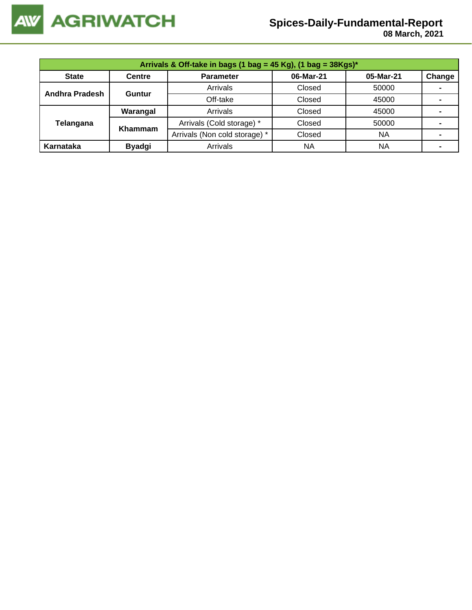

## **Spices-Daily-Fundamental-Report**

 **08 March, 2021**

| Arrivals & Off-take in bags (1 bag = 45 Kg), (1 bag = $38Kgs$ )* |                |                               |           |           |        |  |  |  |
|------------------------------------------------------------------|----------------|-------------------------------|-----------|-----------|--------|--|--|--|
| <b>State</b>                                                     | <b>Centre</b>  | <b>Parameter</b>              | 06-Mar-21 | 05-Mar-21 | Change |  |  |  |
| <b>Andhra Pradesh</b>                                            |                | Arrivals                      | Closed    | 50000     |        |  |  |  |
|                                                                  | Guntur         | Off-take                      | Closed    | 45000     |        |  |  |  |
|                                                                  | Warangal       | Arrivals                      | Closed    | 45000     |        |  |  |  |
| Telangana                                                        | <b>Khammam</b> | Arrivals (Cold storage) *     | Closed    | 50000     |        |  |  |  |
|                                                                  |                | Arrivals (Non cold storage) * | Closed    | <b>NA</b> |        |  |  |  |
| Karnataka                                                        | <b>Byadgi</b>  | Arrivals                      | <b>NA</b> | ΝA        |        |  |  |  |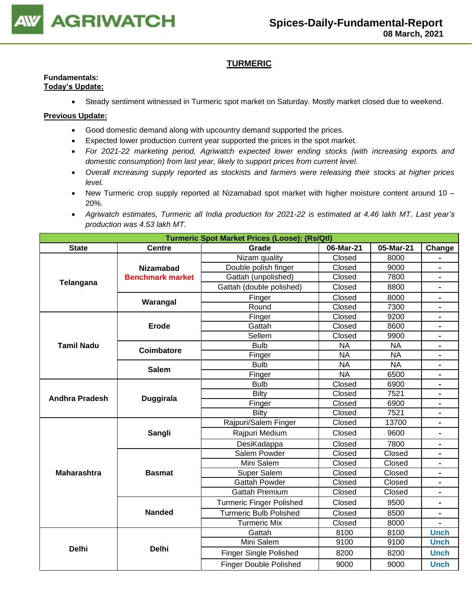

### **TURMERIC**

#### **Fundamentals: Today's Update:**

• Steady sentiment witnessed in Turmeric spot market on Saturday. Mostly market closed due to weekend.

- Good domestic demand along with upcountry demand supported the prices.
- Expected lower production current year supported the prices in the spot market.
- *For 2021-22 marketing period, Agriwatch expected lower ending stocks (with increasing exports and domestic consumption) from last year, likely to support prices from current level.*
- *Overall increasing supply reported as stockists and farmers were releasing their stocks at higher prices level.*
- New Turmeric crop supply reported at Nizamabad spot market with higher moisture content around 10 20%.
- *Agriwatch estimates, Turmeric all India production for 2021-22 is estimated at 4.46 lakh MT. Last year's production was 4.53 lakh MT.*

| <b>Turmeric Spot Market Prices (Loose): (Rs/Qtl)</b><br>06-Mar-21 |                         |                                 |           |           |                              |  |  |
|-------------------------------------------------------------------|-------------------------|---------------------------------|-----------|-----------|------------------------------|--|--|
| <b>State</b>                                                      | <b>Centre</b>           | Grade                           | Change    |           |                              |  |  |
|                                                                   |                         | Nizam quality                   | Closed    | 8000      |                              |  |  |
|                                                                   | <b>Nizamabad</b>        | Double polish finger            | Closed    | 9000      | $\blacksquare$               |  |  |
| Telangana                                                         | <b>Benchmark market</b> | Gattah (unpolished)             | Closed    | 7800      |                              |  |  |
|                                                                   |                         | Gattah (double polished)        | Closed    | 8800      | $\blacksquare$               |  |  |
|                                                                   | Warangal                | Finger                          | Closed    | 8000      |                              |  |  |
|                                                                   |                         | Round                           | Closed    | 7300      |                              |  |  |
|                                                                   |                         | Finger                          | Closed    | 9200      | $\blacksquare$               |  |  |
|                                                                   | <b>Erode</b>            | Gattah                          | Closed    | 8600      | $\blacksquare$               |  |  |
|                                                                   |                         | Sellem                          | Closed    | 9900      |                              |  |  |
| <b>Tamil Nadu</b>                                                 | <b>Coimbatore</b>       | <b>Bulb</b>                     | <b>NA</b> | <b>NA</b> |                              |  |  |
|                                                                   |                         | Finger                          | <b>NA</b> | <b>NA</b> | $\blacksquare$               |  |  |
|                                                                   | <b>Salem</b>            | <b>Bulb</b>                     | <b>NA</b> | <b>NA</b> |                              |  |  |
|                                                                   |                         | Finger                          | <b>NA</b> | 6500      |                              |  |  |
|                                                                   |                         | <b>Bulb</b>                     | Closed    | 6900      |                              |  |  |
| <b>Andhra Pradesh</b>                                             | <b>Duggirala</b>        | <b>Bilty</b>                    | Closed    | 7521      | $\blacksquare$               |  |  |
|                                                                   |                         | Finger                          | Closed    | 6900      | $\blacksquare$               |  |  |
|                                                                   |                         | Bilty                           | Closed    | 7521      |                              |  |  |
|                                                                   |                         | Rajpuri/Salem Finger            | Closed    | 13700     | $\qquad \qquad \blacksquare$ |  |  |
|                                                                   | Sangli                  | Rajpuri Medium                  | Closed    | 9600      |                              |  |  |
|                                                                   |                         | DesiKadappa                     | Closed    | 7800      | $\blacksquare$               |  |  |
|                                                                   |                         | <b>Salem Powder</b>             | Closed    | Closed    | $\blacksquare$               |  |  |
|                                                                   |                         | Mini Salem                      | Closed    | Closed    |                              |  |  |
| <b>Maharashtra</b>                                                | <b>Basmat</b>           | <b>Super Salem</b>              | Closed    | Closed    |                              |  |  |
|                                                                   |                         | <b>Gattah Powder</b>            | Closed    | Closed    |                              |  |  |
|                                                                   |                         | <b>Gattah Premium</b>           | Closed    | Closed    |                              |  |  |
|                                                                   |                         | <b>Turmeric Finger Polished</b> | Closed    | 9500      | $\qquad \qquad \blacksquare$ |  |  |
|                                                                   | <b>Nanded</b>           | Turmeric Bulb Polished          | Closed    | 8500      | $\blacksquare$               |  |  |
|                                                                   |                         | <b>Turmeric Mix</b>             | Closed    | 8000      |                              |  |  |
|                                                                   |                         | Gattah                          | 8100      | 8100      | <b>Unch</b>                  |  |  |
|                                                                   |                         | Mini Salem                      | 9100      | 9100      | <b>Unch</b>                  |  |  |
| <b>Delhi</b>                                                      | <b>Delhi</b>            | <b>Finger Single Polished</b>   | 8200      | 8200      | <b>Unch</b>                  |  |  |
|                                                                   |                         | <b>Finger Double Polished</b>   | 9000      | 9000      | <b>Unch</b>                  |  |  |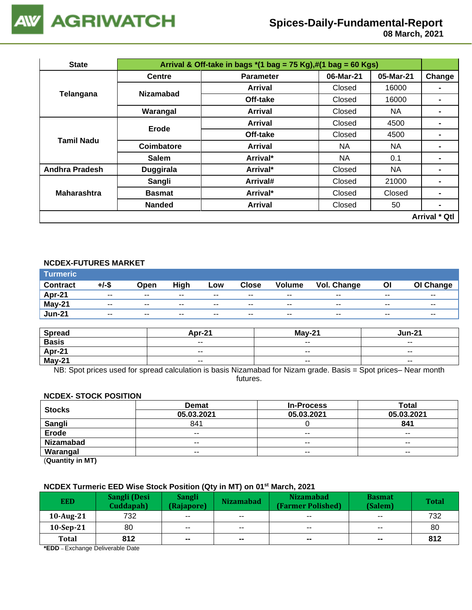

## **Spices-Daily-Fundamental-Report**

 **08 March, 2021**

| <b>State</b>          |                  | 06-Mar-21<br><b>Parameter</b><br>Closed<br>Arrival<br>Off-take<br>Closed<br>Closed<br>NA.<br>Arrival<br>Arrival<br>Closed<br>Closed<br>Off-take<br><b>NA</b><br>NA.<br><b>Arrival</b><br>Arrival*<br>NA.<br>0.1<br><b>NA</b><br>Arrival*<br>Closed<br>Arrival#<br>Closed<br>Arrival*<br>Closed |  |           |                      |
|-----------------------|------------------|------------------------------------------------------------------------------------------------------------------------------------------------------------------------------------------------------------------------------------------------------------------------------------------------|--|-----------|----------------------|
|                       | <b>Centre</b>    |                                                                                                                                                                                                                                                                                                |  | 05-Mar-21 | Change               |
|                       | <b>Nizamabad</b> |                                                                                                                                                                                                                                                                                                |  | 16000     |                      |
| Telangana             |                  |                                                                                                                                                                                                                                                                                                |  | 16000     |                      |
|                       | Warangal         | Arrival & Off-take in bags $*(1 \text{ bag} = 75 \text{ Kg}),\#(1 \text{ bag} = 60 \text{ Kg})$<br>4500<br>4500<br>21000<br>Closed<br>Closed<br>50<br>Arrival                                                                                                                                  |  |           |                      |
| Tamil Nadu            | Erode            |                                                                                                                                                                                                                                                                                                |  |           |                      |
|                       |                  |                                                                                                                                                                                                                                                                                                |  |           |                      |
|                       | Coimbatore       |                                                                                                                                                                                                                                                                                                |  |           |                      |
|                       | <b>Salem</b>     |                                                                                                                                                                                                                                                                                                |  |           |                      |
| <b>Andhra Pradesh</b> | <b>Duggirala</b> |                                                                                                                                                                                                                                                                                                |  |           | $\blacksquare$       |
|                       | Sangli           |                                                                                                                                                                                                                                                                                                |  |           |                      |
| <b>Maharashtra</b>    | <b>Basmat</b>    |                                                                                                                                                                                                                                                                                                |  |           |                      |
|                       | <b>Nanded</b>    |                                                                                                                                                                                                                                                                                                |  |           | -                    |
|                       |                  |                                                                                                                                                                                                                                                                                                |  |           | <b>Arrival * Qtl</b> |

#### **NCDEX-FUTURES MARKET**

| <b>Turmeric</b> |                          |       |       |                          |              |                          |             |               |                  |
|-----------------|--------------------------|-------|-------|--------------------------|--------------|--------------------------|-------------|---------------|------------------|
| <b>Contract</b> | +/-\$                    | Open  | High  | Low                      | <b>Close</b> | <b>Volume</b>            | Vol. Change | Οl            | <b>OI Change</b> |
| <b>Apr-21</b>   | $\sim$ $\sim$            | $- -$ | $- -$ | $\sim$                   | $- -$        | $- -$                    | $- -$       | $- -$         | $- -$            |
| <b>May-21</b>   | $\overline{\phantom{a}}$ | $- -$ | $- -$ | $- -$                    | $- -$        | $- -$                    | $- -$       | $\sim$ $\sim$ | $- -$            |
| <b>Jun-21</b>   | $\overline{\phantom{a}}$ | $- -$ | $- -$ | $\overline{\phantom{a}}$ | $- -$        | $\overline{\phantom{a}}$ | $- -$       | $- -$         | $- -$            |

| <b>Spread</b> | <b>Apr-21</b>            | <b>May-21</b>            | Jun-21                   |
|---------------|--------------------------|--------------------------|--------------------------|
| <b>Basis</b>  | $\overline{\phantom{a}}$ | $\overline{\phantom{m}}$ | $\overline{\phantom{a}}$ |
| Apr-21        | $\overline{\phantom{a}}$ | $\overline{\phantom{m}}$ | $- -$                    |
| $May-21$      | $\overline{\phantom{a}}$ | $\overline{\phantom{a}}$ | $\sim$ $\sim$            |

NB: Spot prices used for spread calculation is basis Nizamabad for Nizam grade. Basis = Spot prices– Near month futures.

### **NCDEX- STOCK POSITION**

| <b>Stocks</b>    | <b>Demat</b>             | <b>In-Process</b>        | <b>Total</b>             |
|------------------|--------------------------|--------------------------|--------------------------|
|                  | 05.03.2021               | 05.03.2021               | 05.03.2021               |
| Sangli           | 841                      |                          | 841                      |
| Erode            | $\overline{\phantom{a}}$ | $\overline{\phantom{m}}$ | $\overline{\phantom{m}}$ |
| <b>Nizamabad</b> | $- -$                    | $\sim$ $\sim$            | $\sim$ $\sim$            |
| Warangal         | $- -$                    | $- -$                    | $- -$                    |
|                  |                          |                          |                          |

(**Quantity in MT)**

#### **NCDEX Turmeric EED Wise Stock Position (Qty in MT) on 01st March, 2021**

| <b>EED</b>   | Sangli (Desi<br>Cuddapah) | Sangli<br>(Rajapore) | <b>Nizamabad</b>         | <b>Nizamabad</b><br>(Farmer Polished) | <b>Basmat</b><br>(Salem) | <b>Total</b> |
|--------------|---------------------------|----------------------|--------------------------|---------------------------------------|--------------------------|--------------|
| 10-Aug-21    | 732                       | $- -$                | $\overline{\phantom{a}}$ | $\overline{\phantom{a}}$              | $\overline{\phantom{a}}$ | 732          |
| $10-Sep-21$  | 80                        | $- -$                | $\overline{\phantom{a}}$ | $\overline{\phantom{a}}$              | $\sim$ $\sim$            | 80           |
| <b>Total</b> | 812                       | $\blacksquare$       | $\mathbf{m}$             | $\sim$                                | $\sim$                   | 812          |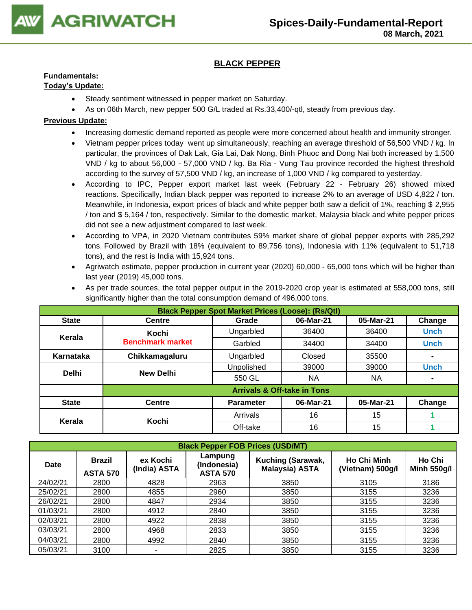

### **BLACK PEPPER**

### **Fundamentals:**

### **Today's Update:**

- Steady sentiment witnessed in pepper market on Saturday.
- As on 06th March, new pepper 500 G/L traded at Rs.33,400/-qtl, steady from previous day.

### **Previous Update:**

- Increasing domestic demand reported as people were more concerned about health and immunity stronger.
- Vietnam [pepper prices today](https://translate.google.com/website?sl=vi&tl=en&u=https://vietnambiz.vn/gia-tieu-hom-nay.html) went up simultaneously, reaching an average threshold of 56,500 VND / kg. In particular, the provinces of Dak Lak, Gia Lai, Dak Nong, Binh Phuoc and Dong Nai both increased by 1,500 VND / kg to about 56,000 - 57,000 VND / kg. Ba Ria - Vung Tau province recorded the highest threshold according to the survey of 57,500 VND / kg, an increase of 1,000 VND / kg compared to yesterday.
- According to IPC, Pepper export market last week (February 22 February 26) showed mixed reactions. Specifically, Indian black pepper was reported to increase 2% to an average of USD 4,822 / ton. Meanwhile, in Indonesia, export prices of black and white pepper both saw a deficit of 1%, reaching \$ 2,955 / ton and \$ 5,164 / ton, respectively. Similar to the domestic market, Malaysia black and white pepper prices did not see a new adjustment compared to last week.
- According to VPA, in 2020 Vietnam contributes 59% market share of global pepper exports with 285,292 tons. Followed by Brazil with 18% (equivalent to 89,756 tons), Indonesia with 11% (equivalent to 51,718 tons), and the rest is India with 15,924 tons.
- Agriwatch estimate, pepper production in current year (2020) 60,000 65,000 tons which will be higher than last year (2019) 45,000 tons.

| <b>Black Pepper Spot Market Prices (Loose): (Rs/Qtl)</b> |                         |                  |                                        |           |             |  |  |  |
|----------------------------------------------------------|-------------------------|------------------|----------------------------------------|-----------|-------------|--|--|--|
| <b>State</b>                                             | <b>Centre</b>           | Grade            | 06-Mar-21                              | 05-Mar-21 | Change      |  |  |  |
| Kerala                                                   | Kochi                   | Ungarbled        | 36400                                  | 36400     | <b>Unch</b> |  |  |  |
|                                                          | <b>Benchmark market</b> | Garbled          | 34400                                  | 34400     | <b>Unch</b> |  |  |  |
| Karnataka                                                | Chikkamagaluru          | Ungarbled        | Closed                                 | 35500     |             |  |  |  |
|                                                          |                         | Unpolished       | 39000                                  | 39000     | <b>Unch</b> |  |  |  |
| <b>Delhi</b>                                             | <b>New Delhi</b>        | 550 GL           | <b>NA</b>                              | <b>NA</b> |             |  |  |  |
|                                                          |                         |                  | <b>Arrivals &amp; Off-take in Tons</b> |           |             |  |  |  |
| <b>State</b>                                             | <b>Centre</b>           | <b>Parameter</b> | 06-Mar-21                              | 05-Mar-21 | Change      |  |  |  |
| Kerala                                                   | Kochi                   | Arrivals         | 16                                     | 15        |             |  |  |  |
|                                                          |                         | Off-take         | 16                                     | 15        |             |  |  |  |

• As per trade sources, the total pepper output in the 2019-2020 crop year is estimated at 558,000 tons, still significantly higher than the total consumption demand of 496,000 tons.

|             | <b>Black Pepper FOB Prices (USD/MT)</b> |                          |                                           |                                            |                                        |                              |  |  |  |  |
|-------------|-----------------------------------------|--------------------------|-------------------------------------------|--------------------------------------------|----------------------------------------|------------------------------|--|--|--|--|
| <b>Date</b> | <b>Brazil</b><br><b>ASTA 570</b>        | ex Kochi<br>(India) ASTA | Lampung<br>(Indonesia)<br><b>ASTA 570</b> | <b>Kuching (Sarawak,</b><br>Malaysia) ASTA | <b>Ho Chi Minh</b><br>(Vietnam) 500g/l | Ho Chi<br><b>Minh 550g/l</b> |  |  |  |  |
| 24/02/21    | 2800                                    | 4828                     | 2963                                      | 3850                                       | 3105                                   | 3186                         |  |  |  |  |
| 25/02/21    | 2800                                    | 4855                     | 2960                                      | 3850                                       | 3155                                   | 3236                         |  |  |  |  |
| 26/02/21    | 2800                                    | 4847                     | 2934                                      | 3850                                       | 3155                                   | 3236                         |  |  |  |  |
| 01/03/21    | 2800                                    | 4912                     | 2840                                      | 3850                                       | 3155                                   | 3236                         |  |  |  |  |
| 02/03/21    | 2800                                    | 4922                     | 2838                                      | 3850                                       | 3155                                   | 3236                         |  |  |  |  |
| 03/03/21    | 2800                                    | 4968                     | 2833                                      | 3850                                       | 3155                                   | 3236                         |  |  |  |  |
| 04/03/21    | 2800                                    | 4992                     | 2840                                      | 3850                                       | 3155                                   | 3236                         |  |  |  |  |
| 05/03/21    | 3100                                    | ۰                        | 2825                                      | 3850                                       | 3155                                   | 3236                         |  |  |  |  |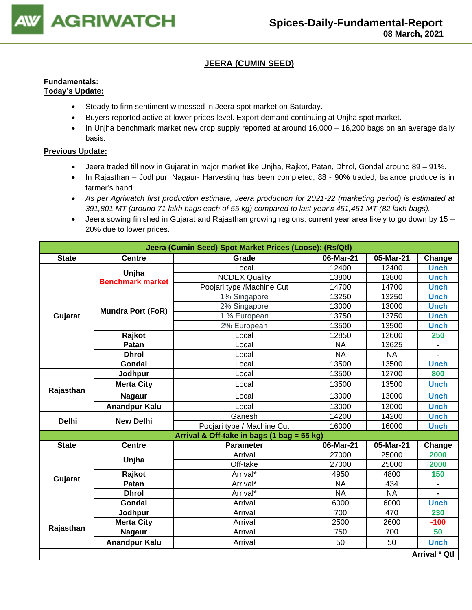

### **JEERA (CUMIN SEED)**

#### **Fundamentals: Today's Update:**

- Steady to firm sentiment witnessed in Jeera spot market on Saturday.
- Buyers reported active at lower prices level. Export demand continuing at Unjha spot market.
- In Unjha benchmark market new crop supply reported at around 16,000 16,200 bags on an average daily basis.

- Jeera traded till now in Gujarat in major market like Unjha, Rajkot, Patan, Dhrol, Gondal around 89 91%.
- In Rajasthan Jodhpur, Nagaur- Harvesting has been completed, 88 90% traded, balance produce is in farmer's hand.
- *As per Agriwatch first production estimate, Jeera production for 2021-22 (marketing period) is estimated at 391,801 MT (around 71 lakh bags each of 55 kg) compared to last year's 451,451 MT (82 lakh bags).*
- Jeera sowing finished in Gujarat and Rajasthan growing regions, current year area likely to go down by 15 20% due to lower prices.

|              | Jeera (Cumin Seed) Spot Market Prices (Loose): (Rs/Qtl) |                                            |           |           |               |  |  |  |
|--------------|---------------------------------------------------------|--------------------------------------------|-----------|-----------|---------------|--|--|--|
| <b>State</b> | <b>Centre</b>                                           | Grade                                      | 06-Mar-21 | 05-Mar-21 | Change        |  |  |  |
|              |                                                         | Local                                      | 12400     | 12400     | <b>Unch</b>   |  |  |  |
|              | Unjha<br><b>Benchmark market</b>                        | <b>NCDEX Quality</b>                       | 13800     | 13800     | <b>Unch</b>   |  |  |  |
|              |                                                         | Poojari type /Machine Cut                  | 14700     | 14700     | <b>Unch</b>   |  |  |  |
|              |                                                         | 1% Singapore                               | 13250     | 13250     | <b>Unch</b>   |  |  |  |
|              | <b>Mundra Port (FoR)</b>                                | 2% Singapore                               | 13000     | 13000     | <b>Unch</b>   |  |  |  |
| Gujarat      |                                                         | 1 % European                               | 13750     | 13750     | <b>Unch</b>   |  |  |  |
|              |                                                         | 2% European                                | 13500     | 13500     | <b>Unch</b>   |  |  |  |
|              | Rajkot                                                  | Local                                      | 12850     | 12600     | 250           |  |  |  |
|              | Patan                                                   | Local                                      | <b>NA</b> | 13625     |               |  |  |  |
|              | <b>Dhrol</b>                                            | Local                                      | <b>NA</b> | <b>NA</b> |               |  |  |  |
|              | Gondal                                                  | Local                                      | 13500     | 13500     | <b>Unch</b>   |  |  |  |
|              | Jodhpur                                                 | Local                                      | 13500     | 12700     | 800           |  |  |  |
| Rajasthan    | <b>Merta City</b>                                       | Local                                      | 13500     | 13500     | <b>Unch</b>   |  |  |  |
|              | <b>Nagaur</b>                                           | Local                                      | 13000     | 13000     | <b>Unch</b>   |  |  |  |
|              | <b>Anandpur Kalu</b>                                    | Local                                      | 13000     | 13000     | <b>Unch</b>   |  |  |  |
| <b>Delhi</b> | <b>New Delhi</b>                                        | Ganesh                                     | 14200     | 14200     | <b>Unch</b>   |  |  |  |
|              |                                                         | Poojari type / Machine Cut                 | 16000     | 16000     | <b>Unch</b>   |  |  |  |
|              |                                                         | Arrival & Off-take in bags (1 bag = 55 kg) |           |           |               |  |  |  |
| <b>State</b> | <b>Centre</b>                                           | <b>Parameter</b>                           | 06-Mar-21 | 05-Mar-21 | Change        |  |  |  |
|              | Unjha                                                   | Arrival                                    | 27000     | 25000     | 2000          |  |  |  |
|              |                                                         | Off-take                                   | 27000     | 25000     | 2000          |  |  |  |
| Gujarat      | Rajkot                                                  | Arrival*                                   | 4950      | 4800      | 150           |  |  |  |
|              | Patan                                                   | Arrival*                                   | <b>NA</b> | 434       |               |  |  |  |
|              | <b>Dhrol</b>                                            | Arrival*                                   | <b>NA</b> | <b>NA</b> |               |  |  |  |
|              | Gondal                                                  | Arrival                                    | 6000      | 6000      | <b>Unch</b>   |  |  |  |
|              | Jodhpur                                                 | Arrival                                    | 700       | 470       | 230           |  |  |  |
|              | <b>Merta City</b>                                       | Arrival                                    | 2500      | 2600      | $-100$        |  |  |  |
| Rajasthan    | <b>Nagaur</b>                                           | Arrival                                    | 750       | 700       | 50            |  |  |  |
|              | <b>Anandpur Kalu</b>                                    | Arrival                                    | 50        | 50        | <b>Unch</b>   |  |  |  |
|              |                                                         |                                            |           |           | Arrival * Qtl |  |  |  |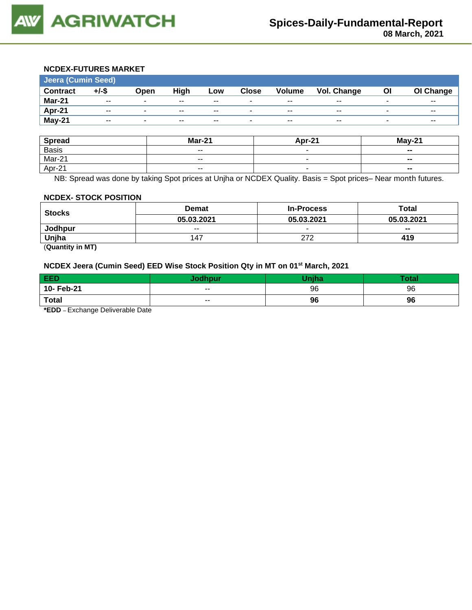

#### **NCDEX-FUTURES MARKET**

| <b>Jeera (Cumin Seed)</b> |       |                          |                          |       |              |                          |                          |    |           |
|---------------------------|-------|--------------------------|--------------------------|-------|--------------|--------------------------|--------------------------|----|-----------|
| <b>Contract</b>           | +/-\$ | Open                     | High                     | Low   | <b>Close</b> | <b>Volume</b>            | <b>Vol. Change</b>       | ΟI | OI Change |
| Mar-21                    | $- -$ | ۰                        | $\overline{\phantom{a}}$ | $- -$ | ۰            | $\overline{\phantom{m}}$ | $\overline{\phantom{m}}$ | -  | $- -$     |
| Apr-21                    | $- -$ | $\overline{\phantom{0}}$ | $- -$                    | $- -$ | ۰            | $\sim$ $\sim$            | $\overline{\phantom{m}}$ | -  | $- -$     |
| May-21                    | $- -$ | $\overline{\phantom{0}}$ | $- -$                    | $- -$ | ٠            | $\sim$ $\sim$            | $- -$                    | -  | $- -$     |

| <b>Spread</b> | <b>Mar-21</b>            | Apr-21 | $M$ ay-21      |
|---------------|--------------------------|--------|----------------|
| <b>Basis</b>  | $\overline{\phantom{a}}$ |        | $\sim$         |
| Mar-21        | $\overline{\phantom{a}}$ |        | $\blacksquare$ |
| Apr-21        | $- -$                    |        | --             |

NB: Spread was done by taking Spot prices at Unjha or NCDEX Quality. Basis = Spot prices– Near month futures.

#### **NCDEX- STOCK POSITION**

| <b>Stocks</b> | <b>Demat</b>             | <b>In-Process</b> | Total                    |  |
|---------------|--------------------------|-------------------|--------------------------|--|
|               | 05.03.2021               | 05.03.2021        | 05.03.2021               |  |
| Jodhpur       | $\overline{\phantom{a}}$ |                   | $\overline{\phantom{a}}$ |  |
| Unjha         | 147                      | つフつ               | 419                      |  |

(**Quantity in MT)**

### **NCDEX Jeera (Cumin Seed) EED Wise Stock Position Qty in MT on 01st March, 2021**

| EED                                  | Jodhpur | <b>Think</b> | Гоtal |  |  |  |  |
|--------------------------------------|---------|--------------|-------|--|--|--|--|
| 10- Feb-21                           | $- -$   | 96           | 96    |  |  |  |  |
| <b>Total</b>                         | $- -$   | 96           | 96    |  |  |  |  |
| $*$ cnn<br>Evebenge Deliverable Dete |         |              |       |  |  |  |  |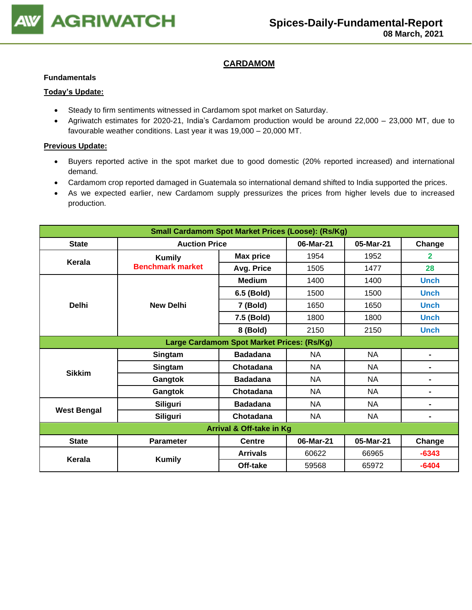

### **CARDAMOM**

#### **Fundamentals**

### **Today's Update:**

- Steady to firm sentiments witnessed in Cardamom spot market on Saturday.
- Agriwatch estimates for 2020-21, India's Cardamom production would be around 22,000 23,000 MT, due to favourable weather conditions. Last year it was 19,000 – 20,000 MT.

- Buyers reported active in the spot market due to good domestic (20% reported increased) and international demand.
- Cardamom crop reported damaged in Guatemala so international demand shifted to India supported the prices.
- As we expected earlier, new Cardamom supply pressurizes the prices from higher levels due to increased production.

| Small Cardamom Spot Market Prices (Loose): (Rs/Kg) |                         |                                            |           |           |                |  |  |
|----------------------------------------------------|-------------------------|--------------------------------------------|-----------|-----------|----------------|--|--|
| <b>State</b>                                       | <b>Auction Price</b>    |                                            | 06-Mar-21 | 05-Mar-21 | Change         |  |  |
| Kerala                                             | <b>Kumily</b>           | <b>Max price</b>                           | 1954      | 1952      | $\overline{2}$ |  |  |
|                                                    | <b>Benchmark market</b> | Avg. Price                                 | 1505      | 1477      | 28             |  |  |
|                                                    |                         | <b>Medium</b>                              | 1400      | 1400      | <b>Unch</b>    |  |  |
|                                                    |                         | 6.5 (Bold)                                 | 1500      | 1500      | <b>Unch</b>    |  |  |
| <b>Delhi</b>                                       | <b>New Delhi</b>        | 7 (Bold)                                   | 1650      | 1650      | <b>Unch</b>    |  |  |
|                                                    |                         | 7.5 (Bold)                                 | 1800      | 1800      | <b>Unch</b>    |  |  |
|                                                    |                         | 8 (Bold)                                   | 2150      | 2150      | <b>Unch</b>    |  |  |
|                                                    |                         | Large Cardamom Spot Market Prices: (Rs/Kg) |           |           |                |  |  |
|                                                    | Singtam                 | <b>Badadana</b>                            | <b>NA</b> | <b>NA</b> | $\blacksquare$ |  |  |
| <b>Sikkim</b>                                      | Singtam                 | Chotadana                                  | <b>NA</b> | <b>NA</b> | $\blacksquare$ |  |  |
|                                                    | Gangtok                 | <b>Badadana</b>                            | <b>NA</b> | <b>NA</b> | $\blacksquare$ |  |  |
|                                                    | Gangtok                 | Chotadana                                  | <b>NA</b> | <b>NA</b> | $\blacksquare$ |  |  |
|                                                    | <b>Siliguri</b>         | <b>Badadana</b>                            | NA        | <b>NA</b> | $\blacksquare$ |  |  |
| <b>West Bengal</b>                                 | <b>Siliguri</b>         | Chotadana                                  | <b>NA</b> | <b>NA</b> | $\blacksquare$ |  |  |
| Arrival & Off-take in Kg                           |                         |                                            |           |           |                |  |  |
| <b>State</b>                                       | <b>Parameter</b>        | <b>Centre</b>                              | 06-Mar-21 | 05-Mar-21 | Change         |  |  |
| Kerala                                             |                         | <b>Arrivals</b>                            | 60622     | 66965     | $-6343$        |  |  |
|                                                    | <b>Kumily</b>           | Off-take                                   | 59568     | 65972     | $-6404$        |  |  |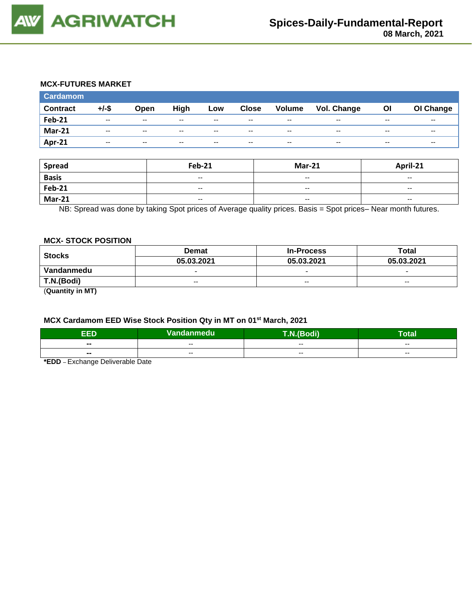

#### **MCX-FUTURES MARKET**

| <b>Cardamom</b> |          |       |       |       |              |                          |                    |       |                          |
|-----------------|----------|-------|-------|-------|--------------|--------------------------|--------------------|-------|--------------------------|
| <b>Contract</b> | $+/-$ \$ | Open  | High  | Low   | <b>Close</b> | <b>Volume</b>            | <b>Vol. Change</b> | Οl    | OI Change                |
| <b>Feb-21</b>   | $- -$    | $- -$ | $- -$ | $- -$ | $- -$        | $\overline{\phantom{a}}$ | $- -$              | $- -$ | $- -$                    |
| <b>Mar-21</b>   | $- -$    | $- -$ | $- -$ | $- -$ | $- -$        | $- -$                    | $- -$              | $- -$ | $\overline{\phantom{a}}$ |
| Apr-21          | $-$      | $-$   | $-$   | $-$   | $- -$        | $-$                      | $-$                | $- -$ | $\sim$ $\sim$            |

| <b>Spread</b> | <b>Feb-21</b>            | <b>Mar-21</b>            | April-21                 |
|---------------|--------------------------|--------------------------|--------------------------|
| <b>Basis</b>  | $\overline{\phantom{a}}$ | $\overline{\phantom{a}}$ | $\overline{\phantom{a}}$ |
| <b>Feb-21</b> | $\overline{\phantom{a}}$ | $\overline{\phantom{a}}$ | $\sim$                   |
| <b>Mar-21</b> | $\overline{\phantom{a}}$ | $- -$                    | $\overline{\phantom{a}}$ |

NB: Spread was done by taking Spot prices of Average quality prices. Basis = Spot prices– Near month futures.

#### **MCX- STOCK POSITION**

| <b>Stocks</b> | <b>Demat</b>             | <b>In-Process</b> | Total                    |  |
|---------------|--------------------------|-------------------|--------------------------|--|
|               | 05.03.2021               | 05.03.2021        | 05.03.2021               |  |
| Vandanmedu    | $\overline{\phantom{a}}$ |                   | $\overline{\phantom{0}}$ |  |
| T.N.(Bodi)    | $- -$                    | $- -$             | $\sim$ $\sim$            |  |
|               |                          |                   |                          |  |

(**Quantity in MT)**

#### **MCX Cardamom EED Wise Stock Position Qty in MT on 01st March, 2021**

| EED                      | Vandanmedu | <b>Bodi</b> | -<br>otali |
|--------------------------|------------|-------------|------------|
| $\overline{\phantom{a}}$ | $- -$      | $- -$       | $- -$      |
| $\blacksquare$           | $- -$      | $- -$       | $- -$      |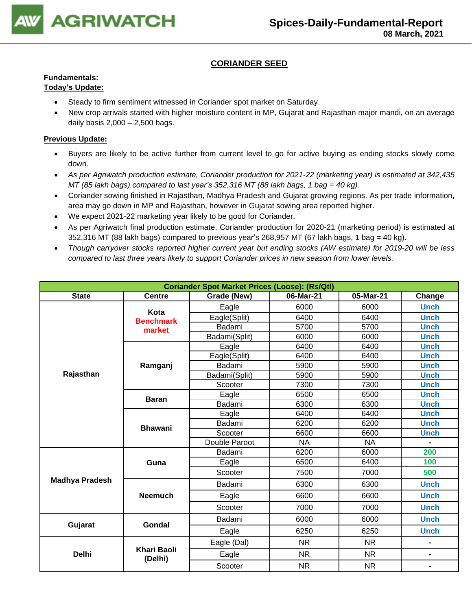

### **CORIANDER SEED**

### **Fundamentals:**

### **Today's Update:**

- Steady to firm sentiment witnessed in Coriander spot market on Saturday.
- New crop arrivals started with higher moisture content in MP, Gujarat and Rajasthan major mandi, on an average daily basis 2,000 – 2,500 bags.

- Buyers are likely to be active further from current level to go for active buying as ending stocks slowly come down.
- *As per Agriwatch production estimate, Coriander production for 2021-22 (marketing year) is estimated at 342,435 MT (85 lakh bags) compared to last year's 352,316 MT (88 lakh bags, 1 bag = 40 kg).*
- Coriander sowing finished in Rajasthan, Madhya Pradesh and Gujarat growing regions. As per trade information, area may go down in MP and Rajasthan, however in Gujarat sowing area reported higher.
- We expect 2021-22 marketing year likely to be good for Coriander.
- As per Agriwatch final production estimate, Coriander production for 2020-21 (marketing period) is estimated at 352,316 MT (88 lakh bags) compared to previous year's 268,957 MT (67 lakh bags, 1 bag = 40 kg).
- *Though carryover stocks reported higher current year but ending stocks (AW estimate) for 2019-20 will be less compared to last three years likely to support Coriander prices in new season from lower levels.*

| <b>Coriander Spot Market Prices (Loose): (Rs/Qtl)</b> |                        |               |           |           |                |  |  |
|-------------------------------------------------------|------------------------|---------------|-----------|-----------|----------------|--|--|
| <b>State</b>                                          | <b>Centre</b>          | Grade (New)   | 06-Mar-21 | 05-Mar-21 | Change         |  |  |
|                                                       | Kota                   | Eagle         | 6000      | 6000      | <b>Unch</b>    |  |  |
|                                                       | <b>Benchmark</b>       | Eagle(Split)  | 6400      | 6400      | <b>Unch</b>    |  |  |
|                                                       | market                 | Badami        | 5700      | 5700      | <b>Unch</b>    |  |  |
|                                                       |                        | Badami(Split) | 6000      | 6000      | <b>Unch</b>    |  |  |
|                                                       |                        | Eagle         | 6400      | 6400      | <b>Unch</b>    |  |  |
|                                                       |                        | Eagle(Split)  | 6400      | 6400      | <b>Unch</b>    |  |  |
|                                                       | Ramganj                | Badami        | 5900      | 5900      | <b>Unch</b>    |  |  |
| Rajasthan                                             |                        | Badami(Split) | 5900      | 5900      | <b>Unch</b>    |  |  |
|                                                       |                        | Scooter       | 7300      | 7300      | <b>Unch</b>    |  |  |
|                                                       | <b>Baran</b>           | Eagle         | 6500      | 6500      | <b>Unch</b>    |  |  |
|                                                       |                        | Badami        | 6300      | 6300      | <b>Unch</b>    |  |  |
|                                                       | <b>Bhawani</b>         | Eagle         | 6400      | 6400      | <b>Unch</b>    |  |  |
|                                                       |                        | Badami        | 6200      | 6200      | <b>Unch</b>    |  |  |
|                                                       |                        | Scooter       | 6600      | 6600      | <b>Unch</b>    |  |  |
|                                                       |                        | Double Paroot | <b>NA</b> | <b>NA</b> |                |  |  |
|                                                       |                        | Badami        | 6200      | 6000      | 200            |  |  |
|                                                       | Guna                   | Eagle         | 6500      | 6400      | 100            |  |  |
|                                                       |                        | Scooter       | 7500      | 7000      | 500            |  |  |
| <b>Madhya Pradesh</b>                                 |                        | Badami        | 6300      | 6300      | <b>Unch</b>    |  |  |
|                                                       | <b>Neemuch</b>         | Eagle         | 6600      | 6600      | <b>Unch</b>    |  |  |
|                                                       |                        | Scooter       | 7000      | 7000      | <b>Unch</b>    |  |  |
| Gujarat                                               | <b>Gondal</b>          | Badami        | 6000      | 6000      | <b>Unch</b>    |  |  |
|                                                       |                        | Eagle         | 6250      | 6250      | <b>Unch</b>    |  |  |
|                                                       |                        | Eagle (Dal)   | <b>NR</b> | <b>NR</b> |                |  |  |
| <b>Delhi</b>                                          | Khari Baoli<br>(Delhi) | Eagle         | <b>NR</b> | <b>NR</b> | $\blacksquare$ |  |  |
|                                                       |                        | Scooter       | <b>NR</b> | <b>NR</b> | $\blacksquare$ |  |  |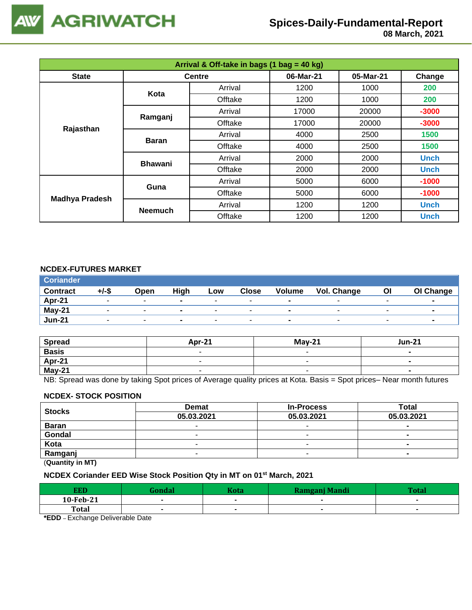

# **Spices-Daily-Fundamental-Report**

 **08 March, 2021**

| Arrival & Off-take in bags (1 bag = 40 kg) |                |               |           |           |             |  |  |
|--------------------------------------------|----------------|---------------|-----------|-----------|-------------|--|--|
| <b>State</b>                               |                | <b>Centre</b> | 06-Mar-21 | 05-Mar-21 | Change      |  |  |
|                                            | Kota           | Arrival       | 1200      | 1000      | 200         |  |  |
|                                            |                | Offtake       | 1200      | 1000      | 200         |  |  |
|                                            |                | Arrival       | 17000     | 20000     | $-3000$     |  |  |
|                                            | Ramganj        | Offtake       | 17000     | 20000     | $-3000$     |  |  |
| Rajasthan                                  | <b>Baran</b>   | Arrival       | 4000      | 2500      | 1500        |  |  |
|                                            |                | Offtake       | 4000      | 2500      | 1500        |  |  |
|                                            | <b>Bhawani</b> | Arrival       | 2000      | 2000      | <b>Unch</b> |  |  |
|                                            |                | Offtake       | 2000      | 2000      | <b>Unch</b> |  |  |
|                                            | Guna           | Arrival       | 5000      | 6000      | $-1000$     |  |  |
|                                            |                | Offtake       | 5000      | 6000      | $-1000$     |  |  |
| <b>Madhya Pradesh</b>                      |                | Arrival       | 1200      | 1200      | <b>Unch</b> |  |  |
|                                            | <b>Neemuch</b> | Offtake       | 1200      | 1200      | <b>Unch</b> |  |  |

### **NCDEX-FUTURES MARKET**

| <b>Coriander</b> |       |                          |                          |                          |                          |                          |                          |                          |                |
|------------------|-------|--------------------------|--------------------------|--------------------------|--------------------------|--------------------------|--------------------------|--------------------------|----------------|
| <b>Contract</b>  | +/-\$ | Open                     | High                     | Low                      | <b>Close</b>             | <b>Volume</b>            | Vol. Change              | ΟI                       | OI Change      |
| Apr-21           |       | $\overline{\phantom{0}}$ | $\overline{\phantom{0}}$ |                          |                          | $\overline{\phantom{a}}$ | -                        | $\overline{\phantom{a}}$ | $\blacksquare$ |
| May-21           |       | $\overline{\phantom{0}}$ | $\blacksquare$           | $\overline{\phantom{a}}$ | $\overline{\phantom{0}}$ | $\overline{\phantom{0}}$ | -                        | $\overline{\phantom{a}}$ | $\blacksquare$ |
| <b>Jun-21</b>    |       | $\overline{\phantom{0}}$ | $\sim$                   | $\overline{\phantom{a}}$ |                          | $\overline{\phantom{0}}$ | $\overline{\phantom{a}}$ | $\sim$                   | $\blacksquare$ |

| <b>Spread</b> | <b>Apr-21</b> | $M$ ay-21 | <b>Jun-21</b> |
|---------------|---------------|-----------|---------------|
| <b>Basis</b>  | -             |           |               |
| Apr-21        |               |           |               |
| May-21        |               | -         |               |

NB: Spread was done by taking Spot prices of Average quality prices at Kota. Basis = Spot prices– Near month futures

#### **NCDEX- STOCK POSITION**

| <b>Stocks</b> | <b>Demat</b> | <b>In-Process</b>        | Total      |  |  |  |
|---------------|--------------|--------------------------|------------|--|--|--|
|               | 05.03.2021   | 05.03.2021               | 05.03.2021 |  |  |  |
| <b>Baran</b>  |              | -                        | -          |  |  |  |
| Gondal        |              |                          | $\sim$     |  |  |  |
| Kota          | -            |                          |            |  |  |  |
| Ramganj       |              | $\overline{\phantom{a}}$ |            |  |  |  |
| (n1N)         |              |                          |            |  |  |  |

(**Quantity in MT)**

### **NCDEX Coriander EED Wise Stock Position Qty in MT on 01st March, 2021**

| <b>EED</b> | <b>Rondal</b> | <b>Kota</b> | Ramgani Mandi            | T <sub>of</sub> |
|------------|---------------|-------------|--------------------------|-----------------|
| 10-Feb-21  |               |             |                          |                 |
| Total      |               |             | $\overline{\phantom{0}}$ |                 |
|            |               |             |                          |                 |